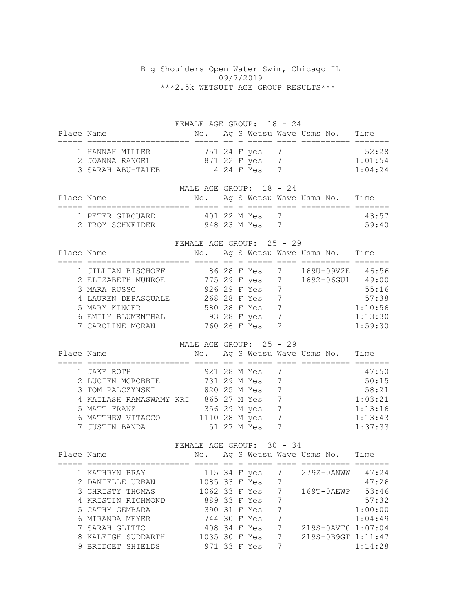## Big Shoulders Open Water Swim, Chicago IL 09/7/2019 \*\*\*2.5k WETSUIT AGE GROUP RESULTS\*\*\*

FEMALE AGE GROUP: 18 - 24 Place Name  $N$ o. Ag S Wetsu Wave Usms No. Time ===== ===================== ===== == = ===== ==== ========== ======= 1 HANNAH MILLER 751 24 F yes 7 52:28 2 JOANNA RANGEL 871 22 F yes 7 1:01:54 3 SARAH ABU-TALEB 4 24 F Yes 7 1:04:24 MALE AGE GROUP: 18 - 24 Place Name  $N$ o. Ag S Wetsu Wave Usms No. Time ===== ===================== ===== == = ===== ==== ========== ======= 1 PETER GIROUARD 401 22 M Yes 7 43:57 2 TROY SCHNEIDER 948 23 M Yes 7 59:40 FEMALE AGE GROUP: 25 - 29 Place Name  $N$ o. Ag S Wetsu Wave Usms No. Time ===== ===================== ===== == = ===== ==== ========== ======= 1 JILLIAN BISCHOFF 86 28 F Yes 7 169U-09V2E 46:56 2 ELIZABETH MUNROE 775 29 F yes 7 1692-06GU1 49:00 3 MARA RUSSO 926 29 F Yes 7 55:16 4 LAUREN DEPASQUALE 268 28 F Yes 7 38 5 MARY KINCER 580 28 F Yes 7 1:10:56 6 EMILY BLUMENTHAL 93 28 F yes 7 1:13:30 7 CAROLINE MORAN 760 26 F Yes 2 1:59:30 MALE AGE GROUP: 25 - 29 Place Name No. Ag S Wetsu Wave Usms No. Time ===== ===================== ===== == = ===== ==== ========== ======= 1 JAKE ROTH 921 28 M Yes 7 47:50 2 LUCIEN MCROBBIE 731 29 M Yes 7 50:15 3 TOM PALCZYNSKI 820 25 M Yes 7 58:21 4 KAILASH RAMASWAMY KRI 865 27 M Yes 7 1:03:21<br>5 MATT FRANZ 356 29 M yes 7 1:13:16 5 MATT FRANZ 356 29 M yes 7 1:13:16 6 MATTHEW VITACCO 1110 28 M yes 7 1:13:43 7 JUSTIN BANDA 51 27 M Yes 7 1:37:33 FEMALE AGE GROUP: 30 - 34 Place Name  $N$ o. Ag S Wetsu Wave Usms No. Time ===== ===================== ===== == = ===== ==== ========== ======= 1 KATHRYN BRAY 115 34 F yes 7 279Z-0ANWW 47:24 2 DANIELLE URBAN 1085 33 F Yes 7 47:26 3 CHRISTY THOMAS 1062 33 F Yes 7 169T-0AEWP 53:46 4 KRISTIN RICHMOND 889 33 F Yes 7 57:32 5 CATHY GEMBARA 390 31 F Yes 7 1:00:00 6 MIRANDA MEYER 744 30 F Yes 7 1:04:49 7 SARAH GLITTO 408 34 F Yes 7 219S-0AVT0 1:07:04 8 KALEIGH SUDDARTH 1035 30 F Yes 7 219S-0B9GT 1:11:47 9 BRIDGET SHIELDS 971 33 F Yes 7 1:14:28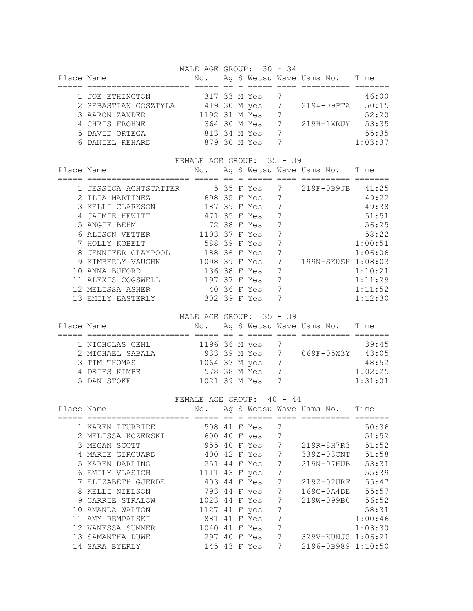MALE AGE GROUP: 30 - 34

| Place Name |                      | No.           |  |              |                 | Ag S Wetsu Wave Usms No. | Time    |
|------------|----------------------|---------------|--|--------------|-----------------|--------------------------|---------|
|            |                      |               |  |              |                 |                          |         |
|            | 1 JOE ETHINGTON      | 317 33 M Yes  |  |              |                 |                          | 46:00   |
|            | 2 SEBASTIAN GOSZTYLA |               |  | 419 30 M yes | $7\overline{ }$ | 2194-09PTA               | 50:15   |
|            | 3 AARON ZANDER       | 1192 31 M Yes |  |              |                 |                          | 52:20   |
|            | 4 CHRIS FROHNE       | 364 30 M Yes  |  |              | 7               | 219H-1XRUY               | 53:35   |
|            | 5 DAVID ORTEGA       | 813 34 M Yes  |  |              |                 |                          | 55:35   |
|            | 6 DANIEL REHARD      | 879 30 M Yes  |  |              |                 |                          | 1:03:37 |

|            |                     | FEMALE AGE GROUP: |  |                          | 35 - 39 |              |                    |
|------------|---------------------|-------------------|--|--------------------------|---------|--------------|--------------------|
| Place Name |                     | No.               |  | Ag S Wetsu Wave Usms No. |         |              | Time               |
|            |                     |                   |  |                          |         |              |                    |
|            | JESSICA ACHTSTATTER |                   |  | 5 35 F Yes               |         | $219F-0B9JB$ | 41:25              |
|            | TIJA MARTINEZ       | 698 35 F Yes      |  |                          |         |              | 49:22              |
|            | KELLI CLARKSON      | 187 39 F Yes      |  |                          | 7       |              | 49:38              |
|            | JAIMIE HEWITT       |                   |  | 471 35 F Yes             | 7       |              | 51:51              |
|            | 5 ANGIE BEHM        |                   |  | 72 38 F Yes              |         |              | 56:25              |
| 6          | ALISON VETTER       | 1103 37 F Yes     |  |                          | 7       |              | 58:22              |
|            | HOLLY KOBELT        | 588 39 F Yes      |  |                          |         |              | 1:00:51            |
| 8          | JENNIFER CLAYPOOL   | 188 36 F Yes      |  |                          |         |              | 1:06:06            |
| 9          | KIMBERLY VAUGHN     | 1098 39 F Yes     |  |                          | 7       |              | 199N-SK0SH 1:08:03 |
|            | ANNA BUFORD         | 136 38 F Yes      |  |                          |         |              | 1:10:21            |
|            | ALEXIS COGSWELL     | 197 37 F Yes      |  |                          |         |              | 1:11:29            |
|            | MELISSA ASHER       | 4 O               |  | 36 F Yes                 | 7       |              | 1:11:52            |
| 13         | EMILY EASTERLY      | 302 39 F Yes      |  |                          |         |              | 1:12:30            |

MALE AGE GROUP: 35 - 39

| Place Name |                  | No.           |  |                |               | Ag S Wetsu Wave Usms No. | Time    |
|------------|------------------|---------------|--|----------------|---------------|--------------------------|---------|
|            |                  |               |  |                |               |                          |         |
|            | 1 NICHOLAS GEHL  | 1196 36 M yes |  |                |               |                          | 39:45   |
|            | 2 MICHAEL SABALA |               |  | 933 39 M Yes 7 |               | 069F-05X3Y               | 43:05   |
|            | 3 TIM THOMAS     | 1064 37 M yes |  |                |               |                          | 48:52   |
|            | 4 DRIES KIMPE    |               |  | 578 38 M Yes   | $\frac{1}{2}$ |                          | 1:02:25 |
|            | 5 DAN STOKE      | 1021 39 M Yes |  |                |               |                          | 1:31:01 |

## FEMALE AGE GROUP: 40 - 44

| Place Name |                    | No.           |    |              |   | Ag S Wetsu Wave Usms No. | Time    |
|------------|--------------------|---------------|----|--------------|---|--------------------------|---------|
|            |                    |               |    |              |   |                          |         |
|            | 1 KAREN ITURBIDE   | 508 41 F Yes  |    |              | 7 |                          | 50:36   |
|            | 2 MELISSA KOZERSKI |               |    | 600 40 F yes | 7 |                          | 51:52   |
|            | 3 MEGAN SCOTT      | 955 40        |    | F Yes        | 7 | 219R-8H7R3               | 51:52   |
|            | MARIE GIROUARD     | 400 42 F Yes  |    |              | 7 | 339Z-03CNT               | 51:58   |
|            | 5 KAREN DARLING    | 251           |    | 44 F Yes     | 7 | $219N - 07HUB$           | 53:31   |
|            | 6 EMILY VLASICH    | 1111 43 F yes |    |              | 7 |                          | 55:39   |
|            | 7 ELIZABETH GJERDE | 403 44 F Yes  |    |              | 7 | 219Z-02URF               | 55:47   |
| 8          | KELLI NIELSON      | 793 44 F yes  |    |              | 7 | 169C-0A4DE               | 55:57   |
|            | 9 CARRIE STRALOW   | 1023 44 F Yes |    |              | 7 | 219W-099B0               | 56:52   |
| 1 O        | AMANDA WALTON      | 1127 41 F yes |    |              | 7 |                          | 58:31   |
|            | AMY REMPALSKI      | 881           |    | 41 F Yes     | 7 |                          | 1:00:46 |
|            | 12 VANESSA SUMMER  | 1040          |    | 41 F Yes     | 7 |                          | 1:03:30 |
| 13.        | SAMANTHA DUWE      | 297           | 40 | F Yes        | 7 | 329V-KUNJ5 1:06:21       |         |
|            | 14 SARA BYERLY     | 145 43 F Yes  |    |              |   | 2196-0B989 1:10:50       |         |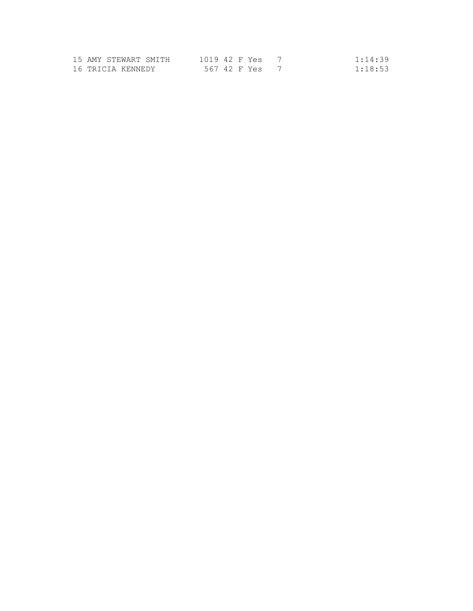| 15 AMY STEWART SMITH | 1019 42 F Yes | 1:14:39 |
|----------------------|---------------|---------|
| 16 TRICIA KENNEDY    | 567 42 F Yes  | 1:18:53 |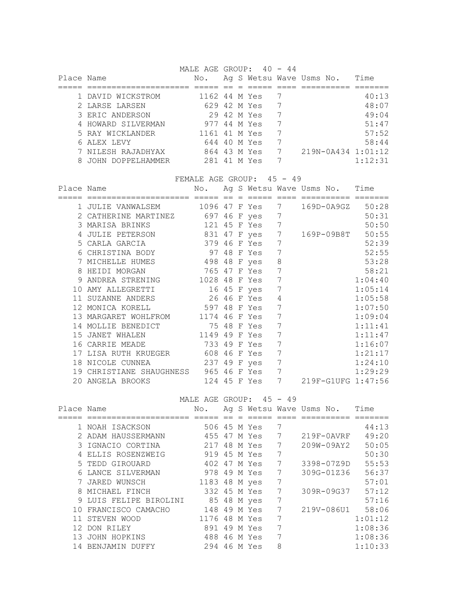MALE AGE GROUP:  $40 - 44$ 

| Place Name |                    | No.           |  |             | Ag S Wetsu Wave Usms No. | Time    |
|------------|--------------------|---------------|--|-------------|--------------------------|---------|
|            |                    |               |  |             |                          |         |
|            | 1 DAVID WICKSTROM  | 1162 44 M Yes |  |             |                          | 40:13   |
|            | 2 LARSE LARSEN     | 629 42 M Yes  |  |             |                          | 48:07   |
|            | 3 ERIC ANDERSON    |               |  | 29 42 M Yes |                          | 49:04   |
|            | 4 HOWARD SILVERMAN | 977 44 M Yes  |  |             |                          | 51:47   |
|            | 5 RAY WICKLANDER   | 1161 41 M Yes |  |             |                          | 57:52   |
|            | 6 ALEX LEVY        | 644 40 M Yes  |  |             |                          | 58:44   |
|            | 7 NILESH RAJADHYAX | 864 43 M Yes  |  |             | 219N-0A434 1:01:12       |         |
| 8.         | JOHN DOPPELHAMMER  | 281 41 M Yes  |  |             |                          | 1:12:31 |

FEMALE AGE GROUP: 45 - 49

| Place Name |                       | No.            |  |               |   | Ag S Wetsu Wave Usms No. | Time    |
|------------|-----------------------|----------------|--|---------------|---|--------------------------|---------|
|            |                       |                |  |               |   |                          |         |
|            | 1 JULIE VANWALSEM     |                |  | 1096 47 F Yes | 7 | 169D-0A9GZ               | 50:28   |
|            | 2 CATHERINE MARTINEZ  | 697 46 F yes   |  |               | 7 |                          | 50:31   |
|            | 3 MARISA BRINKS       |                |  | 121 45 F Yes  | 7 |                          | 50:50   |
|            | JULIE PETERSON        | 831 47 F yes 7 |  |               |   | 169P-09B8T               | 50:55   |
|            | 5 CARLA GARCIA        |                |  | 379 46 F Yes  | 7 |                          | 52:39   |
|            | 6 CHRISTINA BODY      |                |  | 97 48 F Yes   | 7 |                          | 52:55   |
|            | MICHELLE HUMES        | 498 48 F yes   |  |               | 8 |                          | 53:28   |
| 8          | HEIDI MORGAN          |                |  | 765 47 F Yes  | 7 |                          | 58:21   |
| 9          | ANDREA STRENING       | 1028 48 F Yes  |  |               | 7 |                          | 1:04:40 |
|            | AMY ALLEGRETTI        |                |  | 16 45 F yes   | 7 |                          | 1:05:14 |
|            | SUZANNE ANDERS        |                |  | 26 46 F Yes   | 4 |                          | 1:05:58 |
| 12         | MONICA KORELL         | 597 48 F Yes   |  |               | 7 |                          | 1:07:50 |
|            | 13 MARGARET WOHLFROM  | 1174 46 F Yes  |  |               | 7 |                          | 1:09:04 |
|            | MOLLIE BENEDICT       |                |  | 75 48 F Yes   | 7 |                          | 1:11:41 |
| 1.5        | JANET WHALEN          | 1149 49 F Yes  |  |               | 7 |                          | 1:11:47 |
| 16         | CARRIE MEADE          | 733 49 F Yes   |  |               | 7 |                          | 1:16:07 |
|            | LISA RUTH KRUEGER     | 608            |  | 46 F Yes      | 7 |                          | 1:21:17 |
| 18         | NICOLE CUNNEA         | 237 49 F yes   |  |               | 7 |                          | 1:24:10 |
| 19         | CHRISTIANE SHAUGHNESS |                |  | 965 46 F Yes  | 7 |                          | 1:29:29 |
|            | 20 ANGELA BROOKS      |                |  | 124 45 F Yes  | 7 | 219F-G1UFG 1:47:56       |         |

|            |                      | MALE AGE GROUP: |              | 45 - 49 |                          |         |
|------------|----------------------|-----------------|--------------|---------|--------------------------|---------|
| Place Name |                      | No.             |              |         | Ag S Wetsu Wave Usms No. | Time    |
|            |                      |                 |              |         |                          |         |
|            | 1 NOAH ISACKSON      |                 | 506 45 M Yes | 7       |                          | 44:13   |
|            | 2 ADAM HAUSSERMANN   |                 | 455 47 M Yes | 7       | $219F-0AVRF$             | 49:20   |
|            | 3 IGNACIO CORTINA    |                 | 217 48 M Yes | 7       | 209W-09AY2               | 50:05   |
|            | ELLIS ROSENZWEIG     |                 | 919 45 M Yes | 7       |                          | 50:30   |
|            | 5 TEDD GIROUARD      |                 | 402 47 M Yes | 7       | 3398-07Z9D               | 55:53   |
| 6          | LANCE SILVERMAN      |                 | 978 49 M Yes | 7       | 309G-01Z36               | 56:37   |
|            | JARED WUNSCH         | 1183 48 M yes   |              | 7       |                          | 57:01   |
| 8          | MICHAEL FINCH        |                 | 332 45 M Yes | 7       | 309R-09G37               | 57:12   |
| 9.         | LUIS FELIPE BIROLINI |                 | 85 48 M yes  | 7       |                          | 57:16   |
| 1 O        | FRANCISCO CAMACHO    |                 | 148 49 M Yes | 7       | 219V-086U1               | 58:06   |
|            | STEVEN WOOD          | 1176            | 48 M Yes     | 7       |                          | 1:01:12 |
| 12         | DON RILEY            | 891             | 49 M Yes     | 7       |                          | 1:08:36 |
| 13         | JOHN HOPKINS         |                 | 488 46 M Yes | 7       |                          | 1:08:36 |
| 14         | BENJAMIN DUFFY       |                 | 294 46 M Yes | 8       |                          | 1:10:33 |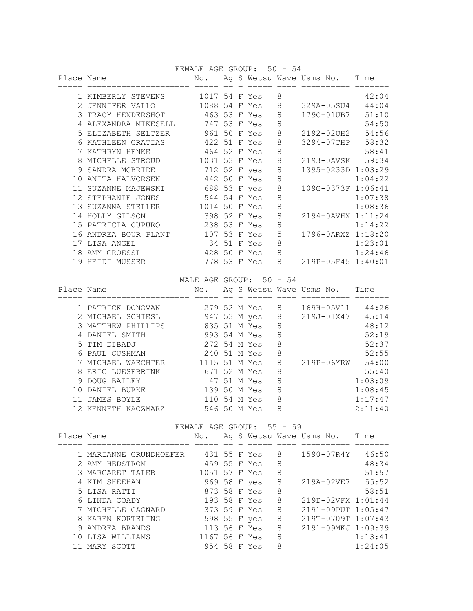FEMALE AGE GROUP: 50 - 54

| Place Name |                    | No.           |    |   |              |   | Ag S Wetsu Wave Usms No. | Time    |
|------------|--------------------|---------------|----|---|--------------|---|--------------------------|---------|
|            |                    |               |    |   |              |   |                          |         |
|            | 1 KIMBERLY STEVENS | 1017 54 F Yes |    |   |              | 8 |                          | 42:04   |
|            | JENNIFER VALLO     | 1088          | 54 | F | Yes          | 8 | 329A-05SU4               | 44:04   |
| 3          | TRACY HENDERSHOT   | 463 53 F Yes  |    |   |              | 8 | 179C-01UB7               | 51:10   |
|            | ALEXANDRA MIKESELL | 747 53 F Yes  |    |   |              | 8 |                          | 54:50   |
| .5         | ELIZABETH SELTZER  | 961           |    |   | 50 F Yes     | 8 | 2192-02UH2               | 54:56   |
| 6          | KATHLEEN GRATIAS   | 422 51        |    |   | F Yes        | 8 | 3294-07THP               | 58:32   |
|            | KATHRYN HENKE      | 464 52 F Yes  |    |   |              | 8 |                          | 58:41   |
| 8          | MICHELLE STROUD    | 1031 53 F Yes |    |   |              | 8 | 2193-0AVSK               | 59:34   |
| 9          | SANDRA MCBRIDE     | 712 52 F yes  |    |   |              | 8 | 1395-0233D 1:03:29       |         |
|            | ANITA HALVORSEN    |               |    |   | 442 50 F Yes | 8 |                          | 1:04:22 |
|            | SUZANNE MAJEWSKI   | 688 53 F yes  |    |   |              | 8 | 109G-0373F 1:06:41       |         |
| 12         | STEPHANIE JONES    | 544 54        |    |   | F Yes        | 8 |                          | 1:07:38 |
| 13         | SUZANNA STELLER    | 1014 50       |    |   | F Yes        | 8 |                          | 1:08:36 |
|            | 14 HOLLY GILSON    | 398 52 F Yes  |    |   |              | 8 | 2194-0AVHX 1:11:24       |         |
| 1.5        | PATRICIA CUPURO    | 238           |    |   | 53 F Yes     | 8 |                          | 1:14:22 |
|            | ANDREA BOUR PLANT  | 107           | 53 |   | F Yes        | 5 | 1796-0ARXZ 1:18:20       |         |
|            | 17 LISA ANGEL      | 34            | 51 |   | F Yes        | 8 |                          | 1:23:01 |
| 18         | AMY GROESSL        | 428 50        |    |   | F Yes        | 8 |                          | 1:24:46 |
|            | 19 HEIDI MUSSER    | 778           |    |   | 53 F Yes     | 8 | 219P-05F45 1:40:01       |         |

MALE AGE GROUP: 50 - 54

| Place Name |                     | No.           |  |             |   | Ag S Wetsu Wave Usms No. | Time    |
|------------|---------------------|---------------|--|-------------|---|--------------------------|---------|
|            |                     |               |  |             |   |                          |         |
|            | 1 PATRICK DONOVAN   | 279 52 M Yes  |  |             | 8 | 169H-05V11               | 44:26   |
|            | 2 MICHAEL SCHIESL   | 947 53 M yes  |  |             | 8 | 219J-01X47               | 45:14   |
|            | 3 MATTHEW PHILLIPS  | 835 51 M Yes  |  |             | 8 |                          | 48:12   |
|            | 4 DANIEL SMITH      | 993 54 M Yes  |  |             | 8 |                          | 52:19   |
|            | 5 TIM DIBADJ        | 272 54 M Yes  |  |             | 8 |                          | 52:37   |
|            | 6 PAUL CUSHMAN      | 240 51 M Yes  |  |             | 8 |                          | 52:55   |
|            | 7 MICHAEL WAECHTER  | 1115 51 M Yes |  |             | 8 | 219P-06YRW               | 54:00   |
|            | 8 ERIC LUESEBRINK   | 671 52 M Yes  |  |             | 8 |                          | 55:40   |
|            | 9 DOUG BAILEY       |               |  | 47 51 M Yes | 8 |                          | 1:03:09 |
| 1 O        | DANIEL BURKE        | 139 50 M Yes  |  |             | 8 |                          | 1:08:45 |
|            | <b>JAMES BOYLE</b>  | 110 54 M Yes  |  |             | 8 |                          | 1:17:47 |
|            | 12 KENNETH KACZMARZ | 546 50 M Yes  |  |             | 8 |                          | 2:11:40 |

## FEMALE AGE GROUP: 55 - 59

| Place Name |                        | No.           |  |   | Ag S Wetsu Wave Usms No. | Time    |
|------------|------------------------|---------------|--|---|--------------------------|---------|
|            |                        |               |  |   |                          |         |
|            | 1 MARIANNE GRUNDHOEFER | 431 55 F Yes  |  | 8 | 1590-07R4Y               | 46:50   |
|            | 2 AMY HEDSTROM         | 459 55 F Yes  |  | 8 |                          | 48:34   |
|            | 3 MARGARET TALEB       | 1051 57 F Yes |  | 8 |                          | 51:57   |
|            | 4 KIM SHEEHAN          | 969 58 F yes  |  | 8 | 219A-02VE7               | 55:52   |
|            | 5 LISA RATTI           | 873 58 F Yes  |  | 8 |                          | 58:51   |
|            | 6 LINDA COADY          | 193 58 F Yes  |  | 8 | 219D-02VFX 1:01:44       |         |
|            | 7 MICHELLE GAGNARD     | 373 59 F Yes  |  | 8 | 2191-09PUT 1:05:47       |         |
|            | 8 KAREN KORTELING      | 598 55 F yes  |  | 8 | 219T-0709T 1:07:43       |         |
|            | 9 ANDREA BRANDS        | 113 56 F Yes  |  | 8 | 2191-09MKJ 1:09:39       |         |
|            | 10 LISA WILLIAMS       | 1167 56 F Yes |  | 8 |                          | 1:13:41 |
|            | MARY SCOTT             | 954 58 F Yes  |  | 8 |                          | 1:24:05 |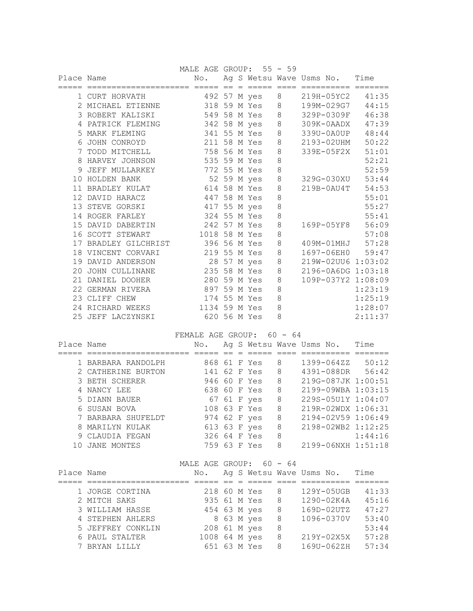|            |                      | MALE AGE GROUP: 55 - 59 |  |              |         |                               |         |
|------------|----------------------|-------------------------|--|--------------|---------|-------------------------------|---------|
| Place Name |                      | No.                     |  |              |         | Ag S Wetsu Wave Usms No. Time |         |
|            |                      |                         |  |              |         |                               |         |
|            | 1 CURT HORVATH       |                         |  | 492 57 M yes | 8       | 219H-05YC2                    | 41:35   |
|            | 2 MICHAEL ETIENNE    |                         |  | 318 59 M Yes | 8       | 199M-029G7                    | 44:15   |
|            | 3 ROBERT KALISKI     |                         |  | 549 58 M Yes | 8       | 329P-0309F                    | 46:38   |
| 4          | PATRICK FLEMING      |                         |  | 342 58 M yes | $\,8\,$ | 309K-0AADX 47:39              |         |
| 5          | MARK FLEMING         | 341 55 M Yes            |  |              | 8       | 339U-0A0UP                    | 48:44   |
| 6          | JOHN CONROYD         | 211 58 M Yes            |  |              | 8       | 2193-02UHM                    | 50:22   |
| 7          | TODD MITCHELL        | 758 56 M Yes            |  |              | 8       | 339E-05F2X                    | 51:01   |
| 8          | HARVEY JOHNSON       | 535 59 M Yes            |  |              | 8       |                               | 52:21   |
| 9          | JEFF MULLARKEY       | 772 55 M Yes            |  |              | 8       |                               | 52:59   |
| 10         | HOLDEN BANK          |                         |  | 52 59 M yes  | $\,8\,$ | 329G-030XU 53:44              |         |
| 11         | BRADLEY KULAT        | 614 58 M Yes            |  |              | 8       | 219B-0AU4T                    | 54:53   |
|            | 12 DAVID HARACZ      | 447 58 M Yes            |  |              | 8       |                               | 55:01   |
|            | 13 STEVE GORSKI      | 417 55 M yes            |  |              | 8       |                               | 55:27   |
|            | 14 ROGER FARLEY      | 324 55 M Yes            |  |              | 8       |                               | 55:41   |
| 1.5        | DAVID DABERTIN       | 242 57 M Yes            |  |              | 8       | 169P-05YF8 56:09              |         |
| 16         | SCOTT STEWART        | 1018                    |  | 58 M Yes     | 8       |                               | 57:08   |
|            | 17 BRADLEY GILCHRIST | 396 56 M Yes            |  |              | 8       | 409M-01MHJ 57:28              |         |
|            | 18 VINCENT CORVARI   | 219 55 M Yes            |  |              | 8       | 1697-06EH0 59:47              |         |
| 19         | DAVID ANDERSON       | 28                      |  | 57 M yes     | $\,8\,$ | 219W-02UU6 1:03:02            |         |
| 20         | JOHN CULLINANE       | 235 58 M Yes            |  |              | 8       | 2196-0A6DG 1:03:18            |         |
| 21         | DANIEL DOOHER        | 280 59 M Yes            |  |              | 8       | 109P-037Y2 1:08:09            |         |
| 22         | GERMAN RIVERA        | 897                     |  | 59 M Yes     | 8       |                               | 1:23:19 |
|            | 23 CLIFF CHEW        | 174 55 M Yes            |  |              | 8       |                               | 1:25:19 |
|            | 24 RICHARD WEEKS     | 1134 59 M Yes           |  |              | 8       |                               | 1:28:07 |
| 25         | JEFF LACZYNSKI       |                         |  | 620 56 M Yes | 8       |                               | 2:11:37 |

FEMALE AGE GROUP: 60 - 64

| Place Name |                    | No.          |  |             |   | Aq S Wetsu Wave Usms No. | Time    |
|------------|--------------------|--------------|--|-------------|---|--------------------------|---------|
|            |                    |              |  |             |   |                          |         |
|            | 1 BARBARA RANDOLPH | 868 61 F Yes |  |             | 8 | 1399-064ZZ               | 50:12   |
|            | 2 CATHERINE BURTON | 141 62 F Yes |  |             | 8 | 4391-088DR 56:42         |         |
|            | 3 BETH SCHERER     | 946 60 F Yes |  |             | 8 | 219G-087JK 1:00:51       |         |
|            | 4 NANCY LEE        | 638 60 F Yes |  |             | 8 | 2199-09WBA 1:03:15       |         |
|            | 5 DIANN BAUER      |              |  | 67 61 F yes | 8 | 229S-05U1Y 1:04:07       |         |
|            | 6 SUSAN BOVA       | 108 63 F Yes |  |             | 8 | 219R-02WDX 1:06:31       |         |
|            | 7 BARBARA SHUFELDT | 974 62 F yes |  |             | 8 | $2194 - 02V59$ 1:06:49   |         |
|            | 8 MARILYN KULAK    | 613 63 F yes |  |             | 8 | 2198-02WB2 1:12:25       |         |
|            | 9 CLAUDIA FEGAN    | 326 64 F Yes |  |             | 8 |                          | 1:44:16 |
|            | <b>JANE MONTES</b> | 759 63 F Yes |  |             | 8 | 2199-06NXH 1:51:18       |         |

| MALE AGE GROUP: 60 - 64<br>_____ |  |  |  |
|----------------------------------|--|--|--|
|----------------------------------|--|--|--|

| Place Name |                   | No.           |  |              |   | Ag S Wetsu Wave Usms No. | Time  |
|------------|-------------------|---------------|--|--------------|---|--------------------------|-------|
|            |                   |               |  |              |   |                          |       |
|            | 1 JORGE CORTINA   | 218 60 M Yes  |  |              | 8 | 129Y-05UGB               | 41:33 |
|            | 2 MITCH SAKS      |               |  | 935 61 M Yes | 8 | 1290-02K4A               | 45:16 |
|            | 3 WILLIAM HASSE   |               |  | 454 63 M yes | 8 | $169D-02UTZ$             | 47:27 |
|            | 4 STEPHEN AHLERS  |               |  | 8 63 M yes   | 8 | 1096-0370V               | 53:40 |
|            | 5 JEFFREY CONKLIN | 208 61 M yes  |  |              | 8 |                          | 53:44 |
|            | 6 PAUL STALTER    | 1008 64 M yes |  |              | 8 | 219Y-02X5X               | 57:28 |
|            | 7 BRYAN LILLY     |               |  | 651 63 M Yes | 8 | 169U-062ZH               | 57:34 |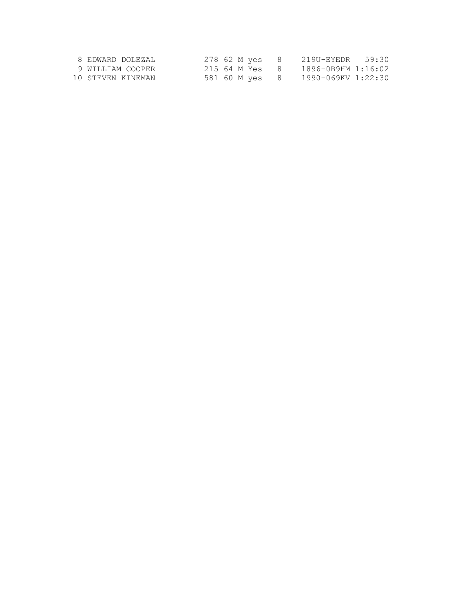| 8 EDWARD DOLEZAL  | 278 62 M ves |                |     | 219U-EYEDR 59:30   |  |
|-------------------|--------------|----------------|-----|--------------------|--|
| 9 WILLIAM COOPER  | 215 64 M Yes |                | - 8 | 1896-0B9HM 1:16:02 |  |
| 10 STEVEN KINEMAN |              | 581 60 M ves 8 |     | 1990-069KV 1:22:30 |  |